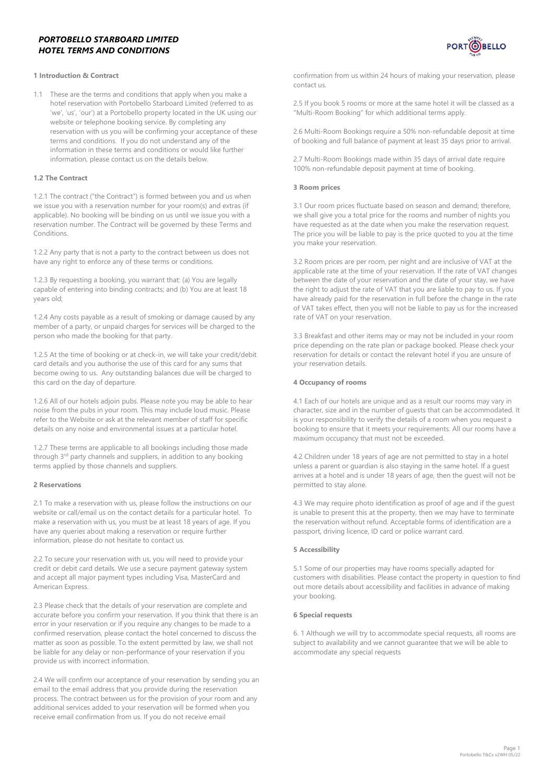# *PORTOBELLO STARBOARD LIMITED HOTEL TERMS AND CONDITIONS*



### **1 Introduction & Contract**

1.1 These are the terms and conditions that apply when you make a hotel reservation with Portobello Starboard Limited (referred to as 'we', 'us', 'our') at a Portobello property located in the UK using our website or telephone booking service. By completing any reservation with us you will be confirming your acceptance of these terms and conditions. If you do not understand any of the information in these terms and conditions or would like further information, please contact us on the details below.

#### **1.2 The Contract**

1.2.1 The contract ("the Contract") is formed between you and us when we issue you with a reservation number for your room(s) and extras (if applicable). No booking will be binding on us until we issue you with a reservation number. The Contract will be governed by these Terms and Conditions.

1.2.2 Any party that is not a party to the contract between us does not have any right to enforce any of these terms or conditions.

1.2.3 By requesting a booking, you warrant that: (a) You are legally capable of entering into binding contracts; and (b) You are at least 18 years old;

1.2.4 Any costs payable as a result of smoking or damage caused by any member of a party, or unpaid charges for services will be charged to the person who made the booking for that party.

1.2.5 At the time of booking or at check-in, we will take your credit/debit card details and you authorise the use of this card for any sums that become owing to us. Any outstanding balances due will be charged to this card on the day of departure.

1.2.6 All of our hotels adjoin pubs. Please note you may be able to hear noise from the pubs in your room. This may include loud music. Please refer to the Website or ask at the relevant member of staff for specific details on any noise and environmental issues at a particular hotel.

1.2.7 These terms are applicable to all bookings including those made through 3<sup>rd</sup> party channels and suppliers, in addition to any booking terms applied by those channels and suppliers.

#### **2 Reservations**

2.1 To make a reservation with us, please follow the instructions on our website or call/email us on the contact details for a particular hotel. To make a reservation with us, you must be at least 18 years of age. If you have any queries about making a reservation or require further information, please do not hesitate to contact us.

2.2 To secure your reservation with us, you will need to provide your credit or debit card details. We use a secure payment gateway system and accept all major payment types including Visa, MasterCard and American Express.

2.3 Please check that the details of your reservation are complete and accurate before you confirm your reservation. If you think that there is an error in your reservation or if you require any changes to be made to a confirmed reservation, please contact the hotel concerned to discuss the matter as soon as possible. To the extent permitted by law, we shall not be liable for any delay or non-performance of your reservation if you provide us with incorrect information.

2.4 We will confirm our acceptance of your reservation by sending you an email to the email address that you provide during the reservation process. The contract between us for the provision of your room and any additional services added to your reservation will be formed when you receive email confirmation from us. If you do not receive email

confirmation from us within 24 hours of making your reservation, please contact us.

2.5 If you book 5 rooms or more at the same hotel it will be classed as a "Multi-Room Booking" for which additional terms apply.

2.6 Multi-Room Bookings require a 50% non-refundable deposit at time of booking and full balance of payment at least 35 days prior to arrival.

2.7 Multi-Room Bookings made within 35 days of arrival date require 100% non-refundable deposit payment at time of booking.

#### **3 Room prices**

3.1 Our room prices fluctuate based on season and demand; therefore, we shall give you a total price for the rooms and number of nights you have requested as at the date when you make the reservation request. The price you will be liable to pay is the price quoted to you at the time you make your reservation.

3.2 Room prices are per room, per night and are inclusive of VAT at the applicable rate at the time of your reservation. If the rate of VAT changes between the date of your reservation and the date of your stay, we have the right to adjust the rate of VAT that you are liable to pay to us. If you have already paid for the reservation in full before the change in the rate of VAT takes effect, then you will not be liable to pay us for the increased rate of VAT on your reservation.

3.3 Breakfast and other items may or may not be included in your room price depending on the rate plan or package booked. Please check your reservation for details or contact the relevant hotel if you are unsure of your reservation details.

### **4 Occupancy of rooms**

4.1 Each of our hotels are unique and as a result our rooms may vary in character, size and in the number of guests that can be accommodated. It is your responsibility to verify the details of a room when you request a booking to ensure that it meets your requirements. All our rooms have a maximum occupancy that must not be exceeded.

4.2 Children under 18 years of age are not permitted to stay in a hotel unless a parent or guardian is also staying in the same hotel. If a guest arrives at a hotel and is under 18 years of age, then the guest will not be permitted to stay alone.

4.3 We may require photo identification as proof of age and if the guest is unable to present this at the property, then we may have to terminate the reservation without refund. Acceptable forms of identification are a passport, driving licence, ID card or police warrant card.

### **5 Accessibility**

5.1 Some of our properties may have rooms specially adapted for customers with disabilities. Please contact the property in question to find out more details about accessibility and facilities in advance of making your booking.

#### **6 Special requests**

6. 1 Although we will try to accommodate special requests, all rooms are subject to availability and we cannot guarantee that we will be able to accommodate any special requests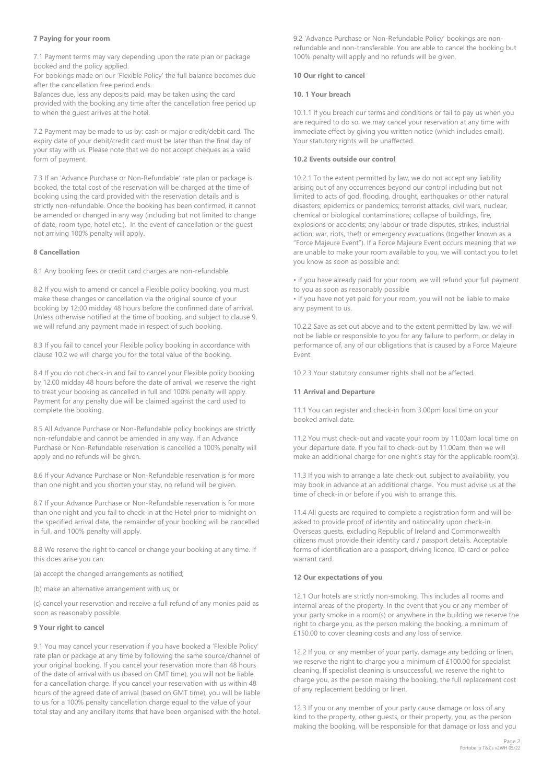#### **7 Paying for your room**

7.1 Payment terms may vary depending upon the rate plan or package booked and the policy applied.

For bookings made on our 'Flexible Policy' the full balance becomes due after the cancellation free period ends.

Balances due, less any deposits paid, may be taken using the card provided with the booking any time after the cancellation free period up to when the guest arrives at the hotel.

7.2 Payment may be made to us by: cash or major credit/debit card. The expiry date of your debit/credit card must be later than the final day of your stay with us. Please note that we do not accept cheques as a valid form of payment.

7.3 If an 'Advance Purchase or Non-Refundable' rate plan or package is booked, the total cost of the reservation will be charged at the time of booking using the card provided with the reservation details and is strictly non-refundable. Once the booking has been confirmed, it cannot be amended or changed in any way (including but not limited to change of date, room type, hotel etc.). In the event of cancellation or the guest not arriving 100% penalty will apply.

### **8 Cancellation**

8.1 Any booking fees or credit card charges are non-refundable.

8.2 If you wish to amend or cancel a Flexible policy booking, you must make these changes or cancellation via the original source of your booking by 12:00 midday 48 hours before the confirmed date of arrival. Unless otherwise notified at the time of booking, and subject to clause 9, we will refund any payment made in respect of such booking.

8.3 If you fail to cancel your Flexible policy booking in accordance with clause 10.2 we will charge you for the total value of the booking.

8.4 If you do not check-in and fail to cancel your Flexible policy booking by 12.00 midday 48 hours before the date of arrival, we reserve the right to treat your booking as cancelled in full and 100% penalty will apply. Payment for any penalty due will be claimed against the card used to complete the booking.

8.5 All Advance Purchase or Non-Refundable policy bookings are strictly non-refundable and cannot be amended in any way. If an Advance Purchase or Non-Refundable reservation is cancelled a 100% penalty will apply and no refunds will be given.

8.6 If your Advance Purchase or Non-Refundable reservation is for more than one night and you shorten your stay, no refund will be given.

8.7 If your Advance Purchase or Non-Refundable reservation is for more than one night and you fail to check-in at the Hotel prior to midnight on the specified arrival date, the remainder of your booking will be cancelled in full, and 100% penalty will apply.

8.8 We reserve the right to cancel or change your booking at any time. If this does arise you can:

(a) accept the changed arrangements as notified;

(b) make an alternative arrangement with us; or

(c) cancel your reservation and receive a full refund of any monies paid as soon as reasonably possible.

### **9 Your right to cancel**

9.1 You may cancel your reservation if you have booked a 'Flexible Policy' rate plan or package at any time by following the same source/channel of your original booking. If you cancel your reservation more than 48 hours of the date of arrival with us (based on GMT time), you will not be liable for a cancellation charge. If you cancel your reservation with us within 48 hours of the agreed date of arrival (based on GMT time), you will be liable to us for a 100% penalty cancellation charge equal to the value of your total stay and any ancillary items that have been organised with the hotel.

9.2 'Advance Purchase or Non-Refundable Policy' bookings are nonrefundable and non-transferable. You are able to cancel the booking but 100% penalty will apply and no refunds will be given.

### **10 Our right to cancel**

### **10. 1 Your breach**

10.1.1 If you breach our terms and conditions or fail to pay us when you are required to do so, we may cancel your reservation at any time with immediate effect by giving you written notice (which includes email). Your statutory rights will be unaffected.

### **10.2 Events outside our control**

10.2.1 To the extent permitted by law, we do not accept any liability arising out of any occurrences beyond our control including but not limited to acts of god, flooding, drought, earthquakes or other natural disasters; epidemics or pandemics; terrorist attacks, civil wars, nuclear, chemical or biological contaminations; collapse of buildings, fire, explosions or accidents; any labour or trade disputes, strikes, industrial action; war, riots, theft or emergency evacuations (together known as a "Force Majeure Event"). If a Force Majeure Event occurs meaning that we are unable to make your room available to you, we will contact you to let you know as soon as possible and:

• if you have already paid for your room, we will refund your full payment to you as soon as reasonably possible

• if you have not yet paid for your room, you will not be liable to make any payment to us.

10.2.2 Save as set out above and to the extent permitted by law, we will not be liable or responsible to you for any failure to perform, or delay in performance of, any of our obligations that is caused by a Force Majeure Event.

10.2.3 Your statutory consumer rights shall not be affected.

### **11 Arrival and Departure**

11.1 You can register and check-in from 3.00pm local time on your booked arrival date.

11.2 You must check-out and vacate your room by 11.00am local time on your departure date. If you fail to check-out by 11.00am, then we will make an additional charge for one night's stay for the applicable room(s).

11.3 If you wish to arrange a late check-out, subject to availability, you may book in advance at an additional charge. You must advise us at the time of check-in or before if you wish to arrange this.

11.4 All guests are required to complete a registration form and will be asked to provide proof of identity and nationality upon check-in. Overseas guests, excluding Republic of Ireland and Commonwealth citizens must provide their identity card / passport details. Acceptable forms of identification are a passport, driving licence, ID card or police warrant card.

### **12 Our expectations of you**

12.1 Our hotels are strictly non-smoking. This includes all rooms and internal areas of the property. In the event that you or any member of your party smoke in a room(s) or anywhere in the building we reserve the right to charge you, as the person making the booking, a minimum of £150.00 to cover cleaning costs and any loss of service.

12.2 If you, or any member of your party, damage any bedding or linen, we reserve the right to charge you a minimum of £100.00 for specialist cleaning. If specialist cleaning is unsuccessful, we reserve the right to charge you, as the person making the booking, the full replacement cost of any replacement bedding or linen.

12.3 If you or any member of your party cause damage or loss of any kind to the property, other guests, or their property, you, as the person making the booking, will be responsible for that damage or loss and you